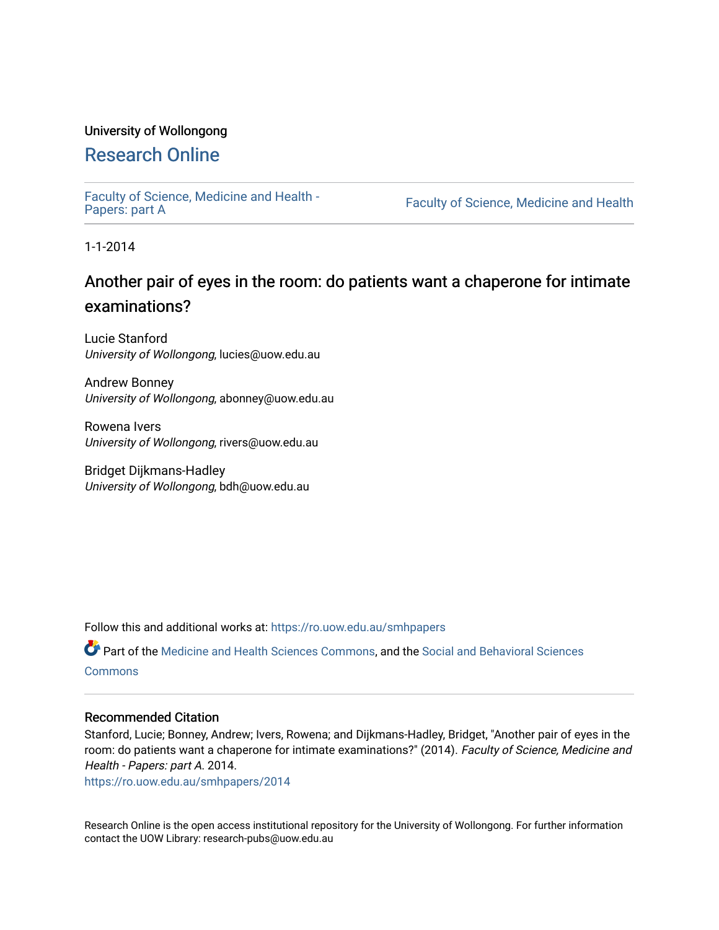## University of Wollongong

# [Research Online](https://ro.uow.edu.au/)

[Faculty of Science, Medicine and Health -](https://ro.uow.edu.au/smhpapers) Papers: part A

Faculty of Science, Medicine and Health

1-1-2014

# Another pair of eyes in the room: do patients want a chaperone for intimate examinations?

Lucie Stanford University of Wollongong, lucies@uow.edu.au

Andrew Bonney University of Wollongong, abonney@uow.edu.au

Rowena Ivers University of Wollongong, rivers@uow.edu.au

Bridget Dijkmans-Hadley University of Wollongong, bdh@uow.edu.au

Follow this and additional works at: [https://ro.uow.edu.au/smhpapers](https://ro.uow.edu.au/smhpapers?utm_source=ro.uow.edu.au%2Fsmhpapers%2F2014&utm_medium=PDF&utm_campaign=PDFCoverPages) 

Part of the [Medicine and Health Sciences Commons,](http://network.bepress.com/hgg/discipline/648?utm_source=ro.uow.edu.au%2Fsmhpapers%2F2014&utm_medium=PDF&utm_campaign=PDFCoverPages) and the [Social and Behavioral Sciences](http://network.bepress.com/hgg/discipline/316?utm_source=ro.uow.edu.au%2Fsmhpapers%2F2014&utm_medium=PDF&utm_campaign=PDFCoverPages) **[Commons](http://network.bepress.com/hgg/discipline/316?utm_source=ro.uow.edu.au%2Fsmhpapers%2F2014&utm_medium=PDF&utm_campaign=PDFCoverPages)** 

## Recommended Citation

Stanford, Lucie; Bonney, Andrew; Ivers, Rowena; and Dijkmans-Hadley, Bridget, "Another pair of eyes in the room: do patients want a chaperone for intimate examinations?" (2014). Faculty of Science, Medicine and Health - Papers: part A. 2014.

[https://ro.uow.edu.au/smhpapers/2014](https://ro.uow.edu.au/smhpapers/2014?utm_source=ro.uow.edu.au%2Fsmhpapers%2F2014&utm_medium=PDF&utm_campaign=PDFCoverPages)

Research Online is the open access institutional repository for the University of Wollongong. For further information contact the UOW Library: research-pubs@uow.edu.au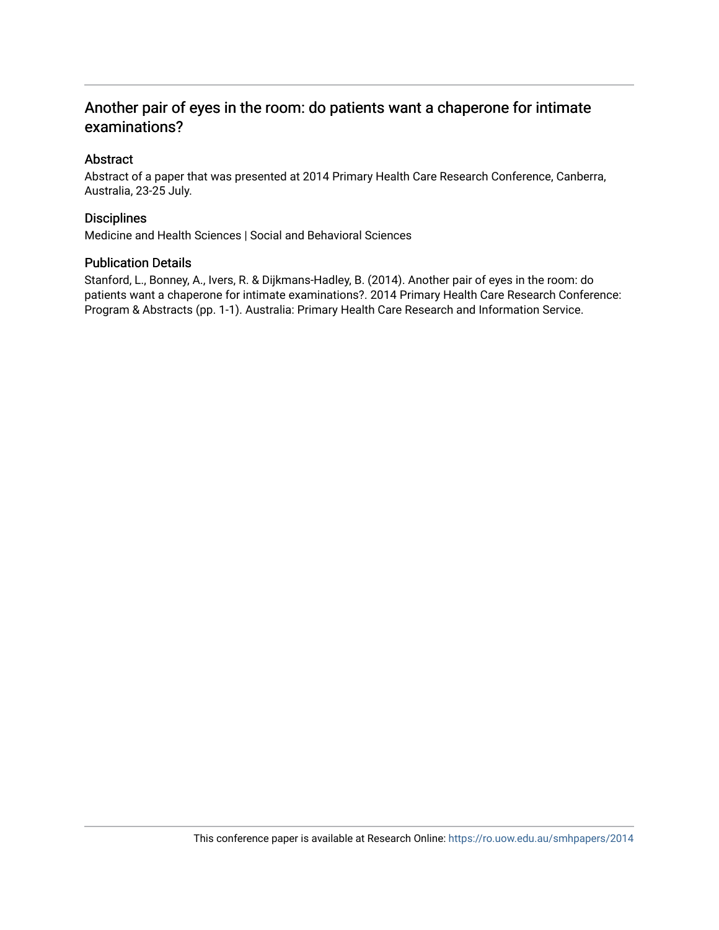## Another pair of eyes in the room: do patients want a chaperone for intimate examinations?

## Abstract

Abstract of a paper that was presented at 2014 Primary Health Care Research Conference, Canberra, Australia, 23-25 July.

## **Disciplines**

Medicine and Health Sciences | Social and Behavioral Sciences

## Publication Details

Stanford, L., Bonney, A., Ivers, R. & Dijkmans-Hadley, B. (2014). Another pair of eyes in the room: do patients want a chaperone for intimate examinations?. 2014 Primary Health Care Research Conference: Program & Abstracts (pp. 1-1). Australia: Primary Health Care Research and Information Service.